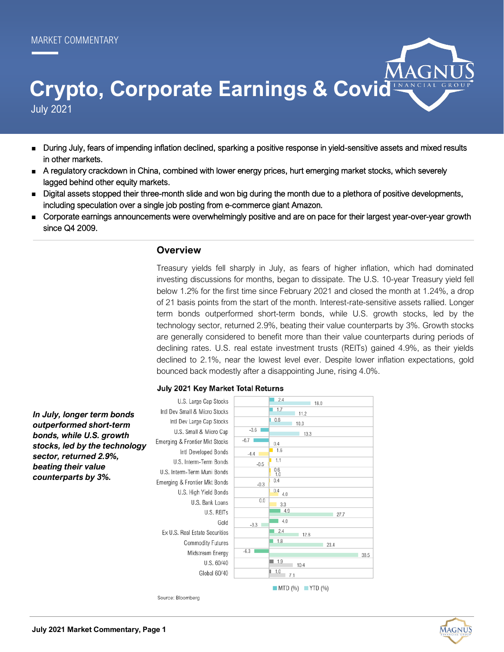# July 2021 **Crypto, Corporate Earnings & Covid**

- During July, fears of impending inflation declined, sparking a positive response in yield-sensitive assets and mixed results in other markets.
- A regulatory crackdown in China, combined with lower energy prices, hurt emerging market stocks, which severely lagged behind other equity markets.
- Digital assets stopped their three-month slide and won big during the month due to a plethora of positive developments, including speculation over a single job posting from e-commerce giant Amazon.
- Corporate earnings announcements were overwhelmingly positive and are on pace for their largest year-over-year growth since Q4 2009.

#### **Overview**

Treasury yields fell sharply in July, as fears of higher inflation, which had dominated investing discussions for months, began to dissipate. The U.S. 10-year Treasury yield fell below 1.2% for the first time since February 2021 and closed the month at 1.24%, a drop of 21 basis points from the start of the month. Interest-rate-sensitive assets rallied. Longer term bonds outperformed short-term bonds, while U.S. growth stocks, led by the technology sector, returned 2.9%, beating their value counterparts by 3%. Growth stocks are generally considered to benefit more than their value counterparts during periods of declining rates. U.S. real estate investment trusts (REITs) gained 4.9%, as their yields declined to 2.1%, near the lowest level ever. Despite lower inflation expectations, gold bounced back modestly after a disappointing June, rising 4.0%.

#### July 2021 Key Market Total Returns

U.S. Large Cap Stocks  $2.4$  $18.0$  $1.7$ Intl Dev Small & Micro Stocks  $11.2$ *In July, longer term bonds*   $0.8$ Intl Dev Large Cap Stocks *outperformed short-term*  10.0  $-3.6$ U.S. Small & Micro Cap  $13.3$ *bonds, while U.S. growth*   $-67$ Emerging & Frontier Mkt Stocks  $0.4$ *stocks, led by the technology*  Intl Developed Bonds  $1.6$  $-4.4$  $1.1$ U.S. Interm-Term Bonds  $-0.5$  $0.6$ <br>1 ( U.S. Interm-Term Muni Bonds  $0.4$ Emerging & Frontier Mkt Bonds  $-0.3$  $0.4$  4.0 U.S. High Yield Bonds  $0.0$ U.S. Bank Loans  $\overline{3.3}$  $-4.9$ U.S. REITs 27  $\overline{4.0}$ Gold  $-3.3$  $2.4$ Ex U.S. Real Estate Securities 12.8 1.8 Commodity Futures  $23.4$  $-63$ Midstream Energy  $38.5$ U.S. 60/40  $\blacksquare$  1.9  $10.4$ Global 60/40  $1.0$  $71$  $\blacksquare$  MTD (%)  $\blacksquare$  YTD (%)

Source: Bloomberg



*sector, returned 2.9%, beating their value counterparts by 3%.*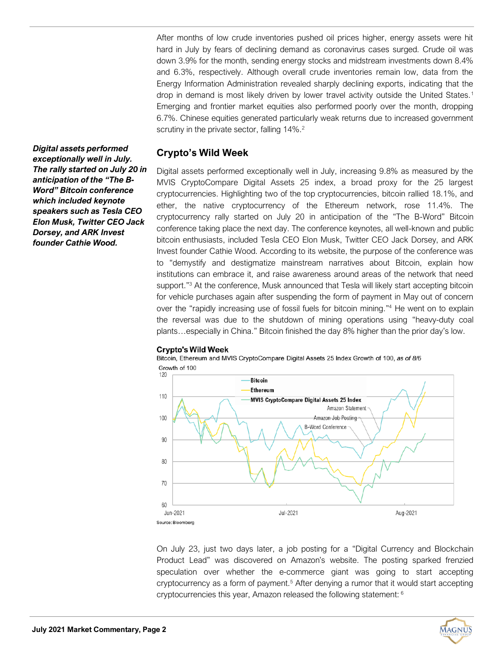After months of low crude inventories pushed oil prices higher, energy assets were hit hard in July by fears of declining demand as coronavirus cases surged. Crude oil was down 3.9% for the month, sending energy stocks and midstream investments down 8.4% and 6.3%, respectively. Although overall crude inventories remain low, data from the Energy Information Administration revealed sharply declining exports, indicating that the drop in demand is most likely driven by lower travel activity outside the United States.<sup>1</sup> Emerging and frontier market equities also performed poorly over the month, dropping 6.7%. Chinese equities generated particularly weak returns due to increased government scrutiny in the private sector, falling 14%.<sup>2</sup>

### **Crypto's Wild Week**

Digital assets performed exceptionally well in July, increasing 9.8% as measured by the MVIS CryptoCompare Digital Assets 25 index, a broad proxy for the 25 largest cryptocurrencies. Highlighting two of the top cryptocurrencies, bitcoin rallied 18.1%, and ether, the native cryptocurrency of the Ethereum network, rose 11.4%. The cryptocurrency rally started on July 20 in anticipation of the "The B-Word" Bitcoin conference taking place the next day. The conference keynotes, all well-known and public bitcoin enthusiasts, included Tesla CEO Elon Musk, Twitter CEO Jack Dorsey, and ARK Invest founder Cathie Wood. According to its website, the purpose of the conference was to "demystify and destigmatize mainstream narratives about Bitcoin, explain how institutions can embrace it, and raise awareness around areas of the network that need support."<sup>3</sup> At the conference, Musk announced that Tesla will likely start accepting bitcoin for vehicle purchases again after suspending the form of payment in May out of concern over the "rapidly increasing use of fossil fuels for bitcoin mining." <sup>4</sup> He went on to explain the reversal was due to the shutdown of mining operations using "heavy-duty coal plants…especially in China." Bitcoin finished the day 8% higher than the prior day's low.

#### **Crypto's Wild Week**

Bitcoin, Ethereum and MVIS CryptoCompare Digital Assets 25 Index Growth of 100, as of 8/6 Growth of 100



On July 23, just two days later, a job posting for a "Digital Currency and Blockchain Product Lead" was discovered on Amazon's website. The posting sparked frenzied speculation over whether the e-commerce giant was going to start accepting cryptocurrency as a form of payment.<sup>5</sup> After denying a rumor that it would start accepting cryptocurrencies this year, Amazon released the following statement: <sup>6</sup>

*Digital assets performed exceptionally well in July. The rally started on July 20 in anticipation of the "The B-Word" Bitcoin conference which included keynote speakers such as Tesla CEO Elon Musk, Twitter CEO Jack Dorsey, and ARK Invest founder Cathie Wood.*

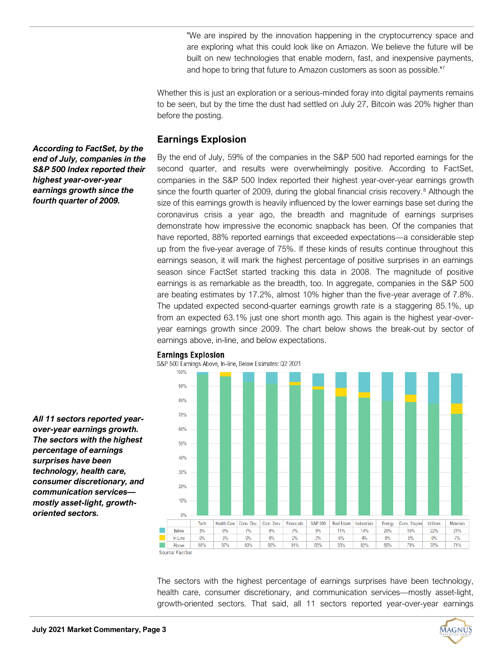"We are inspired by the innovation happening in the cryptocurrency space and are exploring what this could look like on Amazon. We believe the future will be built on new technologies that enable modern, fast, and inexpensive payments, and hope to bring that future to Amazon customers as soon as possible."<sup>7</sup>

Whether this is just an exploration or a serious-minded foray into digital payments remains to be seen, but by the time the dust had settled on July 27, Bitcoin was 20% higher than before the posting.

## **Earnings Explosion**

By the end of July, 59% of the companies in the S&P 500 had reported earnings for the second quarter, and results were overwhelmingly positive. According to FactSet, companies in the S&P 500 Index reported their highest year-over-year earnings growth since the fourth quarter of 2009, during the global financial crisis recovery.<sup>8</sup> Although the size of this earnings growth is heavily influenced by the lower earnings base set during the coronavirus crisis a year ago, the breadth and magnitude of earnings surprises demonstrate how impressive the economic snapback has been. Of the companies that have reported, 88% reported earnings that exceeded expectations—a considerable step up from the five-year average of 75%. If these kinds of results continue throughout this earnings season, it will mark the highest percentage of positive surprises in an earnings season since FactSet started tracking this data in 2008. The magnitude of positive earnings is as remarkable as the breadth, too. In aggregate, companies in the S&P 500 are beating estimates by 17.2%, almost 10% higher than the five-year average of 7.8%. The updated expected second-quarter earnings growth rate is a staggering 85.1%, up from an expected 63.1% just one short month ago. This again is the highest year-overyear earnings growth since 2009. The chart below shows the break-out by sector of earnings above, in-line, and below expectations.



#### The sectors with the highest percentage of earnings surprises have been technology, health care, consumer discretionary, and communication services—mostly asset-light, growth-oriented sectors. That said, all 11 sectors reported year-over-year earnings

*According to FactSet, by the end of July, companies in the S&P 500 Index reported their highest year-over-year earnings growth since the fourth quarter of 2009.*

*All 11 sectors reported yearover-year earnings growth. The sectors with the highest percentage of earnings surprises have been technology, health care, consumer discretionary, and communication services mostly asset-light, growthoriented sectors.* 

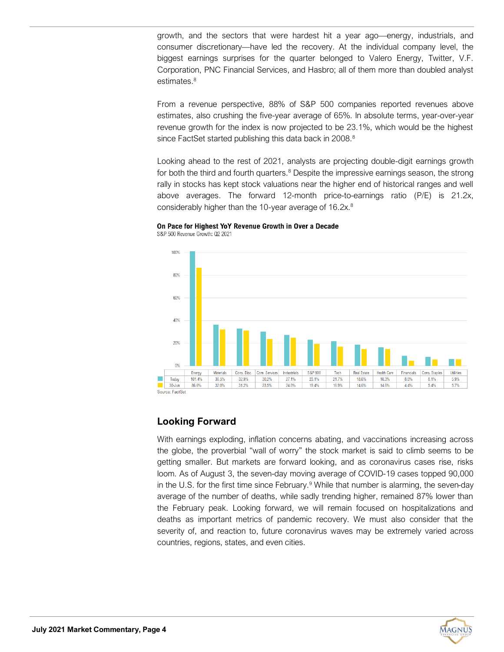growth, and the sectors that were hardest hit a year ago—energy, industrials, and consumer discretionary—have led the recovery. At the individual company level, the biggest earnings surprises for the quarter belonged to Valero Energy, Twitter, V.F. Corporation, PNC Financial Services, and Hasbro; all of them more than doubled analyst estimates.<sup>8</sup>

From a revenue perspective, 88% of S&P 500 companies reported revenues above estimates, also crushing the five-year average of 65%. In absolute terms, year-over-year revenue growth for the index is now projected to be 23.1%, which would be the highest since FactSet started publishing this data back in 2008.<sup>8</sup>

Looking ahead to the rest of 2021, analysts are projecting double-digit earnings growth for both the third and fourth quarters. $8$  Despite the impressive earnings season, the strong rally in stocks has kept stock valuations near the higher end of historical ranges and well above averages. The forward 12-month price-to-earnings ratio (P/E) is 21.2x, considerably higher than the 10-year average of 16.2x.<sup>8</sup>

## On Pace for Highest YoY Revenue Growth in Over a Decade



S&P 500 Revenue Growth: Q2 2021

## **Looking Forward**

With earnings exploding, inflation concerns abating, and vaccinations increasing across the globe, the proverbial "wall of worry" the stock market is said to climb seems to be getting smaller. But markets are forward looking, and as coronavirus cases rise, risks loom. As of August 3, the seven-day moving average of COVID-19 cases topped 90,000 in the U.S. for the first time since February.<sup>9</sup> While that number is alarming, the seven-day average of the number of deaths, while sadly trending higher, remained 87% lower than the February peak. Looking forward, we will remain focused on hospitalizations and deaths as important metrics of pandemic recovery. We must also consider that the severity of, and reaction to, future coronavirus waves may be extremely varied across countries, regions, states, and even cities.

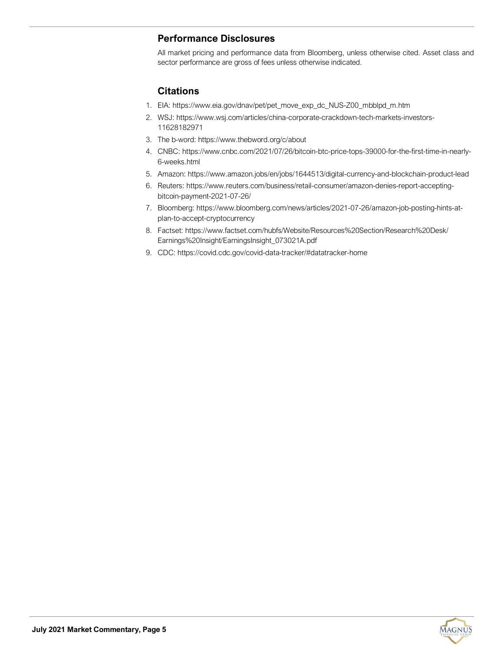## **Performance Disclosures**

All market pricing and performance data from Bloomberg, unless otherwise cited. Asset class and sector performance are gross of fees unless otherwise indicated.

## **Citations**

- 1. EIA: [https://www.eia.gov/dnav/pet/pet\\_move\\_exp\\_dc\\_NUS](https://www.eia.gov/dnav/pet/pet_move_exp_dc_NUS-Z00_mbblpd_m.htm)-Z00\_mbblpd\_m.htm
- 2. WSJ: [https://www.wsj.com/articles/china](https://www.wsj.com/articles/china-corporate-crackdown-tech-markets-investors-11628182971)-corporate-crackdown-tech-markets-investors-[11628182971](https://www.wsj.com/articles/china-corporate-crackdown-tech-markets-investors-11628182971)
- 3. The b-word: <https://www.thebword.org/c/about>
- 4. CNBC: [https://www.cnbc.com/2021/07/26/bitcoin](https://www.cnbc.com/2021/07/26/bitcoin-btc-price-tops-39000-for-the-first-time-in-nearly-6-weeks.html)-btc-price-tops-39000-for-the-first-time-in-nearly-6-[weeks.html](https://www.cnbc.com/2021/07/26/bitcoin-btc-price-tops-39000-for-the-first-time-in-nearly-6-weeks.html)
- 5. Amazon: [https://www.amazon.jobs/en/jobs/1644513/digital](https://www.amazon.jobs/en/jobs/1644513/digital-currency-and-blockchain-product-lead)-currency-and-blockchain-product-lead
- 6. Reuters: [https://www.reuters.com/business/retail](https://www.reuters.com/business/retail-consumer/amazon-denies-report-accepting-bitcoin-payment-2021-07-26/)-consumer/amazon-denies-report-acceptingbitcoin-[payment](https://www.reuters.com/business/retail-consumer/amazon-denies-report-accepting-bitcoin-payment-2021-07-26/)-2021-07-26/
- 7. Bloomberg: [https://www.bloomberg.com/news/articles/2021](https://www.bloomberg.com/news/articles/2021-07-26/amazon-job-posting-hints-at-plan-to-accept-cryptocurrency)-07-26/amazon-job-posting-hints-atplan-to-accept-[cryptocurrency](https://www.bloomberg.com/news/articles/2021-07-26/amazon-job-posting-hints-at-plan-to-accept-cryptocurrency)
- 8. Factset: [https://www.factset.com/hubfs/Website/Resources%20Section/Research%20Desk/](https://www.factset.com/hubfs/Website/Resources%20Section/Research%20Desk/Earnings%20Insight/EarningsInsight_073021A.pdf) [Earnings%20Insight/EarningsInsight\\_073021A.pdf](https://www.factset.com/hubfs/Website/Resources%20Section/Research%20Desk/Earnings%20Insight/EarningsInsight_073021A.pdf)
- 9. CDC: [https://covid.cdc.gov/covid](https://covid.cdc.gov/covid-data-tracker/%23datatracker-home)-data-tracker/#datatracker-home